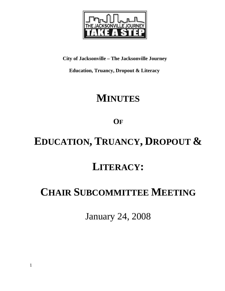

**City of Jacksonville – The Jacksonville Journey** 

 **Education, Truancy, Dropout & Literacy** 

# **MINUTES**

**OF**

# **EDUCATION, TRUANCY, DROPOUT &**

# **LITERACY:**

# **CHAIR SUBCOMMITTEE MEETING**

January 24, 2008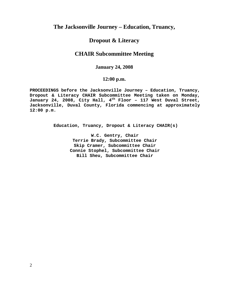## **The Jacksonville Journey – Education, Truancy,**

### **Dropout & Literacy**

## **CHAIR Subcommittee Meeting**

### **January 24, 2008**

### **12:00 p.m.**

**PROCEEDINGS before the Jacksonville Journey – Education, Truancy, Dropout & Literacy CHAIR Subcommittee Meeting taken on Monday, January 24, 2008, City Hall, 4th Floor – 117 West Duval Street, Jacksonville, Duval County, Florida commencing at approximately 12:00 p.m.** 

**Education, Truancy, Dropout & Literacy CHAIR(s)** 

**W.C. Gentry, Chair Terrie Brady, Subcommittee Chair Skip Cramer, Subcommittee Chair Connie Stophel, Subcommittee Chair Bill Sheu, Subcommittee Chair**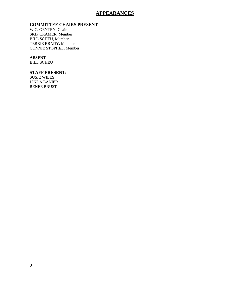### **APPEARANCES**

#### **COMMITTEE CHAIRS PRESENT**

W.C. GENTRY, Chair SKIP CRAMER, Member BILL SCHEU, Member TERRIE BRADY, Member CONNIE STOPHEL, Member

#### **ABSENT**

BILL SCHEU

#### **STAFF PRESENT:**

SUSIE WILES LINDA LANIER RENEE BRUST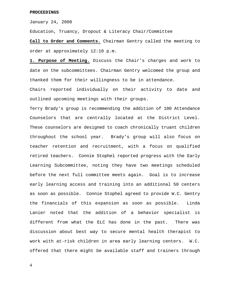#### **PROCEEDINGS**

January 24, 2008

Education, Truancy, Dropout & Literacy Chair/Committee

**Call to Order and Comments.** Chairman Gentry called the meeting to order at approximately 12:10 p.m.

**1. Purpose of Meeting.** Discuss the Chair's charges and work to date on the subcommittees. Chairman Gentry welcomed the group and thanked them for their willingness to be in attendance.

Chairs reported individually on their activity to date and outlined upcoming meetings with their groups.

Terry Brady's group is recommending the addition of 100 Attendance Counselors that are centrally located at the District Level. These counselors are designed to coach chronically truant children throughout the school year. Brady's group will also focus on teacher retention and recruitment, with a focus on qualified retired teachers. Connie Stophel reported progress with the Early Learning Subcommittee, noting they have two meetings scheduled before the next full committee meets again. Goal is to increase early learning access and training into an additional 50 centers as soon as possible. Connie Stophel agreed to provide W.C. Gentry the financials of this expansion as soon as possible. Linda Lanier noted that the addition of a behavior specialist is different from what the ELC has done in the past. There was discussion about best way to secure mental health therapist to work with at-risk children in area early learning centers. W.C. offered that there might be available staff and trainers through

4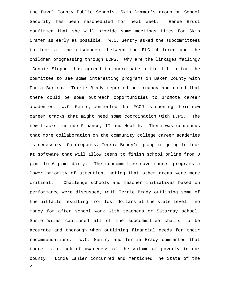5 the Duval County Public Schools. Skip Cramer's group on School Security has been rescheduled for next week. Renee Brust confirmed that she will provide some meetings times for Skip Cramer as early as possible. W.C. Gentry asked the subcommittees to look at the disconnect between the ELC children and the children progressing through DCPS. Why are the linkages failing? Connie Stophel has agreed to coordinate a field trip for the committee to see some interesting programs in Baker County with Paula Barton. Terrie Brady reported on truancy and noted that there could be some outreach opportunities to promote career academies. W.C. Gentry commented that FCCJ is opening their new career tracks that might need some coordination with DCPS. The new tracks include Finance, IT and Health. There was consensus that more collaboration on the community college career academies is necessary. On dropouts, Terrie Brady's group is going to look at software that will allow teens to finish school online from 3 p.m. to 6 p.m. daily. The subcommittee gave magnet programs a lower priority of attention, noting that other areas were more critical. Challenge schools and teacher initiatives based on performance were discussed, with Terrie Brady outlining some of the pitfalls resulting from lost dollars at the state level: no money for after school work with teachers or Saturday school. Susie Wiles cautioned all of the subcommittee chairs to be accurate and thorough when outlining financial needs for their recommendations. W.C. Gentry and Terrie Brady commented that there is a lack of awareness of the volume of poverty in our county. Linda Lanier concurred and mentioned The State of the